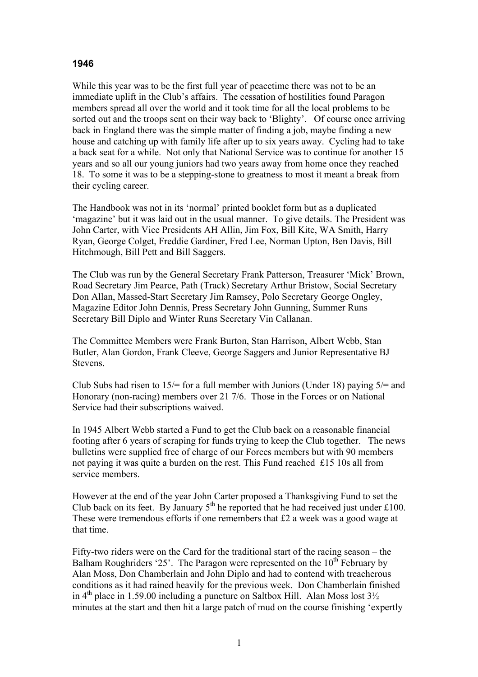## **1946**

While this year was to be the first full year of peacetime there was not to be an immediate uplift in the Club's affairs. The cessation of hostilities found Paragon members spread all over the world and it took time for all the local problems to be sorted out and the troops sent on their way back to 'Blighty'. Of course once arriving back in England there was the simple matter of finding a job, maybe finding a new house and catching up with family life after up to six years away. Cycling had to take a back seat for a while. Not only that National Service was to continue for another 15 years and so all our young juniors had two years away from home once they reached 18. To some it was to be a stepping-stone to greatness to most it meant a break from their cycling career.

The Handbook was not in its 'normal' printed booklet form but as a duplicated 'magazine' but it was laid out in the usual manner. To give details. The President was John Carter, with Vice Presidents AH Allin, Jim Fox, Bill Kite, WA Smith, Harry Ryan, George Colget, Freddie Gardiner, Fred Lee, Norman Upton, Ben Davis, Bill Hitchmough, Bill Pett and Bill Saggers.

The Club was run by the General Secretary Frank Patterson, Treasurer 'Mick' Brown, Road Secretary Jim Pearce, Path (Track) Secretary Arthur Bristow, Social Secretary Don Allan, Massed-Start Secretary Jim Ramsey, Polo Secretary George Ongley, Magazine Editor John Dennis, Press Secretary John Gunning, Summer Runs Secretary Bill Diplo and Winter Runs Secretary Vin Callanan.

The Committee Members were Frank Burton, Stan Harrison, Albert Webb, Stan Butler, Alan Gordon, Frank Cleeve, George Saggers and Junior Representative BJ Stevens.

Club Subs had risen to  $15/$ = for a full member with Juniors (Under 18) paying  $5/$ = and Honorary (non-racing) members over 21 7/6. Those in the Forces or on National Service had their subscriptions waived.

In 1945 Albert Webb started a Fund to get the Club back on a reasonable financial footing after 6 years of scraping for funds trying to keep the Club together. The news bulletins were supplied free of charge of our Forces members but with 90 members not paying it was quite a burden on the rest. This Fund reached £15 10s all from service members.

However at the end of the year John Carter proposed a Thanksgiving Fund to set the Club back on its feet. By January  $5<sup>th</sup>$  he reported that he had received just under £100. These were tremendous efforts if one remembers that £2 a week was a good wage at that time.

Fifty-two riders were on the Card for the traditional start of the racing season – the Balham Roughriders '25'. The Paragon were represented on the  $10<sup>th</sup>$  February by Alan Moss, Don Chamberlain and John Diplo and had to contend with treacherous conditions as it had rained heavily for the previous week. Don Chamberlain finished in  $4<sup>th</sup>$  place in 1.59.00 including a puncture on Saltbox Hill. Alan Moss lost  $3\frac{1}{2}$ minutes at the start and then hit a large patch of mud on the course finishing 'expertly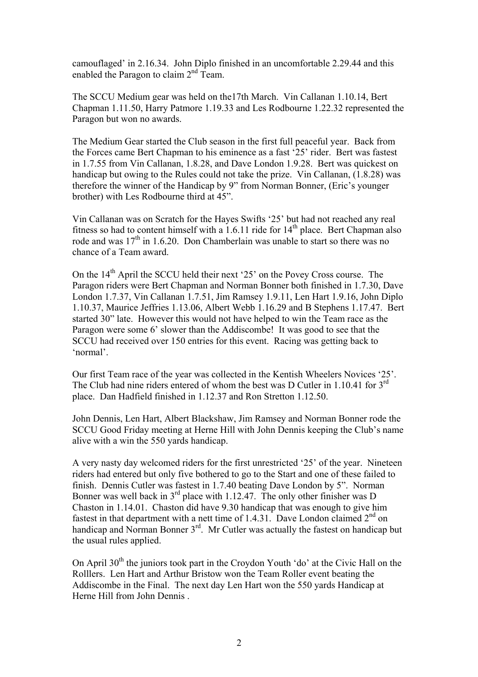camouflaged' in 2.16.34. John Diplo finished in an uncomfortable 2.29.44 and this enabled the Paragon to claim 2<sup>nd</sup> Team.

The SCCU Medium gear was held on the17th March. Vin Callanan 1.10.14, Bert Chapman 1.11.50, Harry Patmore 1.19.33 and Les Rodbourne 1.22.32 represented the Paragon but won no awards.

The Medium Gear started the Club season in the first full peaceful year. Back from the Forces came Bert Chapman to his eminence as a fast '25' rider. Bert was fastest in 1.7.55 from Vin Callanan, 1.8.28, and Dave London 1.9.28. Bert was quickest on handicap but owing to the Rules could not take the prize. Vin Callanan, (1.8.28) was therefore the winner of the Handicap by 9" from Norman Bonner, (Eric's younger brother) with Les Rodbourne third at 45".

Vin Callanan was on Scratch for the Hayes Swifts '25' but had not reached any real fitness so had to content himself with a  $1.6.11$  ride for  $14<sup>th</sup>$  place. Bert Chapman also rode and was  $17<sup>th</sup>$  in 1.6.20. Don Chamberlain was unable to start so there was no chance of a Team award.

On the  $14<sup>th</sup>$  April the SCCU held their next '25' on the Povey Cross course. The Paragon riders were Bert Chapman and Norman Bonner both finished in 1.7.30, Dave London 1.7.37, Vin Callanan 1.7.51, Jim Ramsey 1.9.11, Len Hart 1.9.16, John Diplo 1.10.37, Maurice Jeffries 1.13.06, Albert Webb 1.16.29 and B Stephens 1.17.47. Bert started 30" late. However this would not have helped to win the Team race as the Paragon were some 6' slower than the Addiscombe! It was good to see that the SCCU had received over 150 entries for this event. Racing was getting back to 'normal'.

Our first Team race of the year was collected in the Kentish Wheelers Novices '25'. The Club had nine riders entered of whom the best was D Cutler in 1.10.41 for  $3<sup>rd</sup>$ place. Dan Hadfield finished in 1.12.37 and Ron Stretton 1.12.50.

John Dennis, Len Hart, Albert Blackshaw, Jim Ramsey and Norman Bonner rode the SCCU Good Friday meeting at Herne Hill with John Dennis keeping the Club's name alive with a win the 550 yards handicap.

A very nasty day welcomed riders for the first unrestricted '25' of the year. Nineteen riders had entered but only five bothered to go to the Start and one of these failed to finish. Dennis Cutler was fastest in 1.7.40 beating Dave London by 5". Norman Bonner was well back in  $3<sup>rd</sup>$  place with 1.12.47. The only other finisher was D Chaston in 1.14.01. Chaston did have 9.30 handicap that was enough to give him fastest in that department with a nett time of  $1.4.31$ . Dave London claimed  $2<sup>nd</sup>$  on handicap and Norman Bonner 3<sup>rd</sup>. Mr Cutler was actually the fastest on handicap but the usual rules applied.

On April  $30<sup>th</sup>$  the juniors took part in the Croydon Youth 'do' at the Civic Hall on the Rolllers. Len Hart and Arthur Bristow won the Team Roller event beating the Addiscombe in the Final. The next day Len Hart won the 550 yards Handicap at Herne Hill from John Dennis .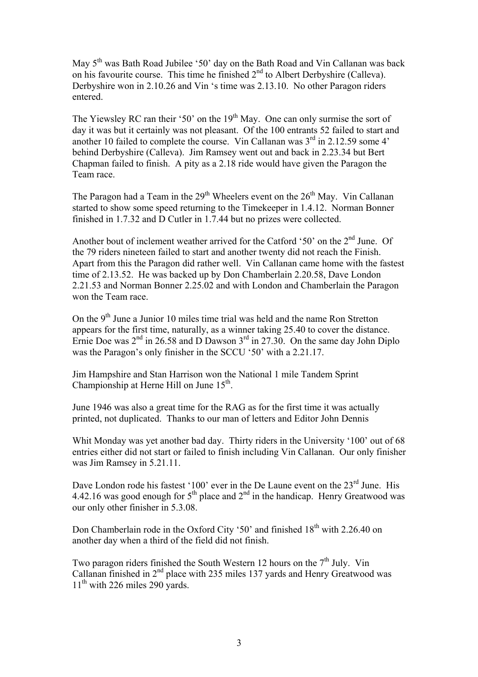May 5<sup>th</sup> was Bath Road Jubilee '50' day on the Bath Road and Vin Callanan was back on his favourite course. This time he finished  $2<sup>nd</sup>$  to Albert Derbyshire (Calleva). Derbyshire won in 2.10.26 and Vin 's time was 2.13.10. No other Paragon riders entered.

The Yiewsley RC ran their '50' on the  $19<sup>th</sup>$  May. One can only surmise the sort of day it was but it certainly was not pleasant. Of the 100 entrants 52 failed to start and another 10 failed to complete the course. Vin Callanan was  $3<sup>rd</sup>$  in 2.12.59 some 4' behind Derbyshire (Calleva). Jim Ramsey went out and back in 2.23.34 but Bert Chapman failed to finish. A pity as a 2.18 ride would have given the Paragon the Team race.

The Paragon had a Team in the  $29<sup>th</sup>$  Wheelers event on the  $26<sup>th</sup>$  May. Vin Callanan started to show some speed returning to the Timekeeper in 1.4.12. Norman Bonner finished in 1.7.32 and D Cutler in 1.7.44 but no prizes were collected.

Another bout of inclement weather arrived for the Catford '50' on the 2<sup>nd</sup> June. Of the 79 riders nineteen failed to start and another twenty did not reach the Finish. Apart from this the Paragon did rather well. Vin Callanan came home with the fastest time of 2.13.52. He was backed up by Don Chamberlain 2.20.58, Dave London 2.21.53 and Norman Bonner 2.25.02 and with London and Chamberlain the Paragon won the Team race

On the  $9<sup>th</sup>$  June a Junior 10 miles time trial was held and the name Ron Stretton appears for the first time, naturally, as a winner taking 25.40 to cover the distance. Ernie Doe was 2<sup>nd</sup> in 26.58 and D Dawson 3<sup>rd</sup> in 27.30. On the same day John Diplo was the Paragon's only finisher in the SCCU '50' with a 2.21.17.

Jim Hampshire and Stan Harrison won the National 1 mile Tandem Sprint Championship at Herne Hill on June  $15<sup>th</sup>$ .

June 1946 was also a great time for the RAG as for the first time it was actually printed, not duplicated. Thanks to our man of letters and Editor John Dennis

Whit Monday was yet another bad day. Thirty riders in the University '100' out of 68 entries either did not start or failed to finish including Vin Callanan. Our only finisher was Jim Ramsey in 5.21.11.

Dave London rode his fastest '100' ever in the De Laune event on the 23<sup>rd</sup> June. His 4.42.16 was good enough for  $5<sup>th</sup>$  place and  $2<sup>nd</sup>$  in the handicap. Henry Greatwood was our only other finisher in 5.3.08.

Don Chamberlain rode in the Oxford City '50' and finished  $18<sup>th</sup>$  with 2.26.40 on another day when a third of the field did not finish.

Two paragon riders finished the South Western 12 hours on the  $7<sup>th</sup>$  July. Vin Callanan finished in  $2<sup>nd</sup>$  place with 235 miles 137 yards and Henry Greatwood was  $11<sup>th</sup>$  with 226 miles 290 yards.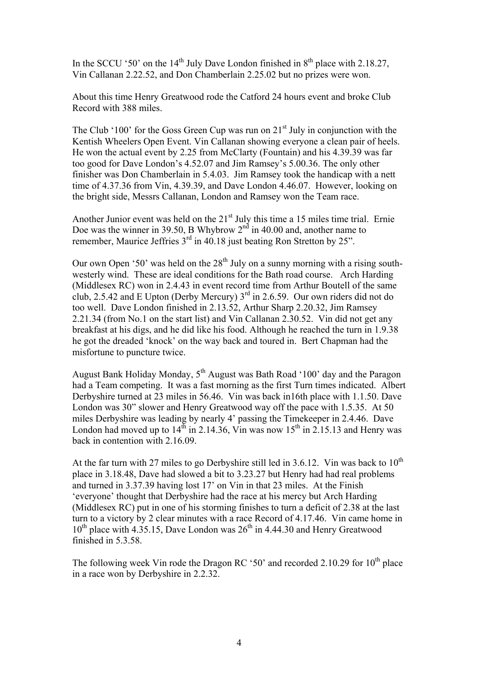In the SCCU '50' on the  $14<sup>th</sup>$  July Dave London finished in  $8<sup>th</sup>$  place with 2.18.27, Vin Callanan 2.22.52, and Don Chamberlain 2.25.02 but no prizes were won.

About this time Henry Greatwood rode the Catford 24 hours event and broke Club Record with 388 miles.

The Club '100' for the Goss Green Cup was run on  $21<sup>st</sup>$  July in conjunction with the Kentish Wheelers Open Event. Vin Callanan showing everyone a clean pair of heels. He won the actual event by 2.25 from McClarty (Fountain) and his 4.39.39 was far too good for Dave London's 4.52.07 and Jim Ramsey's 5.00.36. The only other finisher was Don Chamberlain in 5.4.03. Jim Ramsey took the handicap with a nett time of 4.37.36 from Vin, 4.39.39, and Dave London 4.46.07. However, looking on the bright side, Messrs Callanan, London and Ramsey won the Team race.

Another Junior event was held on the 21<sup>st</sup> July this time a 15 miles time trial. Ernie Doe was the winner in 39.50, B Whybrow  $2<sup>nd</sup>$  in 40.00 and, another name to remember, Maurice Jeffries  $3<sup>rd</sup>$  in 40.18 just beating Ron Stretton by 25".

Our own Open '50' was held on the  $28<sup>th</sup>$  July on a sunny morning with a rising southwesterly wind. These are ideal conditions for the Bath road course. Arch Harding (Middlesex RC) won in 2.4.43 in event record time from Arthur Boutell of the same club, 2.5.42 and E Upton (Derby Mercury)  $3<sup>rd</sup>$  in 2.6.59. Our own riders did not do too well. Dave London finished in 2.13.52, Arthur Sharp 2.20.32, Jim Ramsey 2.21.34 (from No.1 on the start list) and Vin Callanan 2.30.52. Vin did not get any breakfast at his digs, and he did like his food. Although he reached the turn in 1.9.38 he got the dreaded 'knock' on the way back and toured in. Bert Chapman had the misfortune to puncture twice.

August Bank Holiday Monday,  $5<sup>th</sup>$  August was Bath Road '100' day and the Paragon had a Team competing. It was a fast morning as the first Turn times indicated. Albert Derbyshire turned at 23 miles in 56.46. Vin was back in16th place with 1.1.50. Dave London was 30" slower and Henry Greatwood way off the pace with 1.5.35. At 50 miles Derbyshire was leading by nearly 4' passing the Timekeeper in 2.4.46. Dave London had moved up to  $14^{th}$  in 2.14.36, Vin was now  $15^{th}$  in 2.15.13 and Henry was back in contention with 2.16.09.

At the far turn with 27 miles to go Derbyshire still led in 3.6.12. Vin was back to  $10^{th}$ place in 3.18.48, Dave had slowed a bit to 3.23.27 but Henry had had real problems and turned in 3.37.39 having lost 17' on Vin in that 23 miles. At the Finish 'everyone' thought that Derbyshire had the race at his mercy but Arch Harding (Middlesex RC) put in one of his storming finishes to turn a deficit of 2.38 at the last turn to a victory by 2 clear minutes with a race Record of 4.17.46. Vin came home in  $10<sup>th</sup>$  place with 4.35.15, Dave London was  $26<sup>th</sup>$  in 4.44.30 and Henry Greatwood finished in 5.3.58.

The following week Vin rode the Dragon RC '50' and recorded 2.10.29 for  $10^{th}$  place in a race won by Derbyshire in 2.2.32.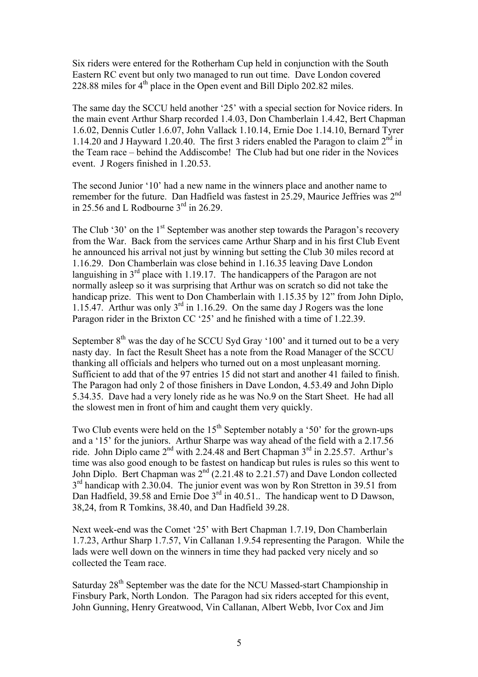Six riders were entered for the Rotherham Cup held in conjunction with the South Eastern RC event but only two managed to run out time. Dave London covered 228.88 miles for  $4<sup>th</sup>$  place in the Open event and Bill Diplo 202.82 miles.

The same day the SCCU held another '25' with a special section for Novice riders. In the main event Arthur Sharp recorded 1.4.03, Don Chamberlain 1.4.42, Bert Chapman 1.6.02, Dennis Cutler 1.6.07, John Vallack 1.10.14, Ernie Doe 1.14.10, Bernard Tyrer 1.14.20 and J Hayward 1.20.40. The first 3 riders enabled the Paragon to claim  $2^{nd}$  in the Team race – behind the Addiscombe! The Club had but one rider in the Novices event. J Rogers finished in 1.20.53.

The second Junior '10' had a new name in the winners place and another name to remember for the future. Dan Hadfield was fastest in 25.29, Maurice Jeffries was 2nd in 25.56 and L Rodbourne  $3<sup>rd</sup>$  in 26.29.

The Club '30' on the  $1<sup>st</sup>$  September was another step towards the Paragon's recovery from the War. Back from the services came Arthur Sharp and in his first Club Event he announced his arrival not just by winning but setting the Club 30 miles record at 1.16.29. Don Chamberlain was close behind in 1.16.35 leaving Dave London languishing in  $3<sup>rd</sup>$  place with 1.19.17. The handicappers of the Paragon are not normally asleep so it was surprising that Arthur was on scratch so did not take the handicap prize. This went to Don Chamberlain with 1.15.35 by 12" from John Diplo, 1.15.47. Arthur was only  $3^{rd}$  in 1.16.29. On the same day J Rogers was the lone Paragon rider in the Brixton CC '25' and he finished with a time of 1.22.39.

September  $8<sup>th</sup>$  was the day of he SCCU Syd Gray '100' and it turned out to be a very nasty day. In fact the Result Sheet has a note from the Road Manager of the SCCU thanking all officials and helpers who turned out on a most unpleasant morning. Sufficient to add that of the 97 entries 15 did not start and another 41 failed to finish. The Paragon had only 2 of those finishers in Dave London, 4.53.49 and John Diplo 5.34.35. Dave had a very lonely ride as he was No.9 on the Start Sheet. He had all the slowest men in front of him and caught them very quickly.

Two Club events were held on the  $15<sup>th</sup>$  September notably a '50' for the grown-ups and a '15' for the juniors. Arthur Sharpe was way ahead of the field with a 2.17.56 ride. John Diplo came  $2<sup>nd</sup>$  with 2.24.48 and Bert Chapman  $3<sup>rd</sup>$  in 2.25.57. Arthur's time was also good enough to be fastest on handicap but rules is rules so this went to John Diplo. Bert Chapman was  $2<sup>nd</sup>$  (2.21.48 to 2.21.57) and Dave London collected  $3<sup>rd</sup>$  handicap with 2.30.04. The junior event was won by Ron Stretton in 39.51 from Dan Hadfield, 39.58 and Ernie Doe 3<sup>rd</sup> in 40.51. The handicap went to D Dawson, 38,24, from R Tomkins, 38.40, and Dan Hadfield 39.28.

Next week-end was the Comet '25' with Bert Chapman 1.7.19, Don Chamberlain 1.7.23, Arthur Sharp 1.7.57, Vin Callanan 1.9.54 representing the Paragon. While the lads were well down on the winners in time they had packed very nicely and so collected the Team race.

Saturday 28<sup>th</sup> September was the date for the NCU Massed-start Championship in Finsbury Park, North London. The Paragon had six riders accepted for this event, John Gunning, Henry Greatwood, Vin Callanan, Albert Webb, Ivor Cox and Jim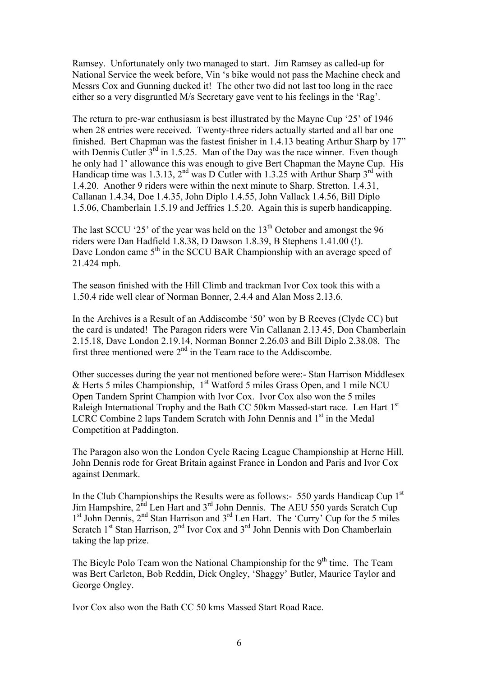Ramsey. Unfortunately only two managed to start. Jim Ramsey as called-up for National Service the week before, Vin 's bike would not pass the Machine check and Messrs Cox and Gunning ducked it! The other two did not last too long in the race either so a very disgruntled M/s Secretary gave vent to his feelings in the 'Rag'.

The return to pre-war enthusiasm is best illustrated by the Mayne Cup '25' of 1946 when 28 entries were received. Twenty-three riders actually started and all bar one finished. Bert Chapman was the fastest finisher in 1.4.13 beating Arthur Sharp by 17" with Dennis Cutler  $3<sup>rd</sup>$  in 1.5.25. Man of the Day was the race winner. Even though he only had 1' allowance this was enough to give Bert Chapman the Mayne Cup. His Handicap time was 1.3.13,  $2^{nd}$  was D Cutler with 1.3.25 with Arthur Sharp  $3^{rd}$  with 1.4.20. Another 9 riders were within the next minute to Sharp. Stretton. 1.4.31, Callanan 1.4.34, Doe 1.4.35, John Diplo 1.4.55, John Vallack 1.4.56, Bill Diplo 1.5.06, Chamberlain 1.5.19 and Jeffries 1.5.20. Again this is superb handicapping.

The last SCCU '25' of the year was held on the  $13<sup>th</sup>$  October and amongst the 96 riders were Dan Hadfield 1.8.38, D Dawson 1.8.39, B Stephens 1.41.00 (!). Dave London came 5<sup>th</sup> in the SCCU BAR Championship with an average speed of 21.424 mph.

The season finished with the Hill Climb and trackman Ivor Cox took this with a 1.50.4 ride well clear of Norman Bonner, 2.4.4 and Alan Moss 2.13.6.

In the Archives is a Result of an Addiscombe '50' won by B Reeves (Clyde CC) but the card is undated! The Paragon riders were Vin Callanan 2.13.45, Don Chamberlain 2.15.18, Dave London 2.19.14, Norman Bonner 2.26.03 and Bill Diplo 2.38.08. The first three mentioned were  $2<sup>nd</sup>$  in the Team race to the Addiscombe.

Other successes during the year not mentioned before were:- Stan Harrison Middlesex  $\&$  Herts 5 miles Championship, 1<sup>st</sup> Watford 5 miles Grass Open, and 1 mile NCU Open Tandem Sprint Champion with Ivor Cox. Ivor Cox also won the 5 miles Raleigh International Trophy and the Bath CC 50km Massed-start race. Len Hart 1<sup>st</sup> LCRC Combine 2 laps Tandem Scratch with John Dennis and  $1<sup>st</sup>$  in the Medal Competition at Paddington.

The Paragon also won the London Cycle Racing League Championship at Herne Hill. John Dennis rode for Great Britain against France in London and Paris and Ivor Cox against Denmark.

In the Club Championships the Results were as follows:- 550 yards Handicap Cup  $1<sup>st</sup>$ Jim Hampshire,  $2^{nd}$  Len Hart and  $3^{rd}$  John Dennis. The AEU 550 yards Scratch Cup  $1<sup>st</sup>$  John Dennis,  $2<sup>nd</sup>$  Stan Harrison and  $3<sup>rd</sup>$  Len Hart. The 'Curry' Cup for the 5 miles Scratch  $1<sup>st</sup>$  Stan Harrison,  $2<sup>nd</sup>$  Ivor Cox and  $3<sup>rd</sup>$  John Dennis with Don Chamberlain taking the lap prize.

The Bicyle Polo Team won the National Championship for the  $9<sup>th</sup>$  time. The Team was Bert Carleton, Bob Reddin, Dick Ongley, 'Shaggy' Butler, Maurice Taylor and George Ongley.

Ivor Cox also won the Bath CC 50 kms Massed Start Road Race.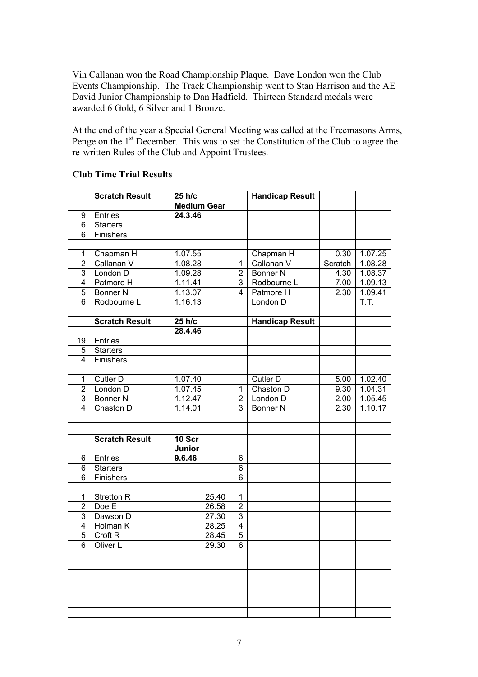Vin Callanan won the Road Championship Plaque. Dave London won the Club Events Championship. The Track Championship went to Stan Harrison and the AE David Junior Championship to Dan Hadfield. Thirteen Standard medals were awarded 6 Gold, 6 Silver and 1 Bronze.

At the end of the year a Special General Meeting was called at the Freemasons Arms, Penge on the 1<sup>st</sup> December. This was to set the Constitution of the Club to agree the re-written Rules of the Club and Appoint Trustees.

|                | <b>Scratch Result</b> | 25 h/c             |                | <b>Handicap Result</b> |         |                       |
|----------------|-----------------------|--------------------|----------------|------------------------|---------|-----------------------|
|                |                       | <b>Medium Gear</b> |                |                        |         |                       |
| 9              | Entries               | 24.3.46            |                |                        |         |                       |
| 6              | <b>Starters</b>       |                    |                |                        |         |                       |
| 6              | Finishers             |                    |                |                        |         |                       |
|                |                       |                    |                |                        |         |                       |
| 1              | Chapman H             | 1.07.55            |                | Chapman H              | 0.30    | 1.07.25               |
| $\overline{2}$ | Callanan V            | 1.08.28            | $\mathbf{1}$   | Callanan V             | Scratch | 1.08.28               |
| $\overline{3}$ | London D              | 1.09.28            | $\overline{2}$ | <b>Bonner N</b>        | 4.30    | 1.08.37               |
| $\overline{4}$ | Patmore H             | 1.11.41            | 3              | Rodbourne L            | 7.00    | 1.09.13               |
| 5              | <b>Bonner N</b>       | 1.13.07            | 4              | Patmore H              | 2.30    | 1.09.41               |
| $\overline{6}$ | Rodbourne L           | 1.16.13            |                | London D               |         | T.T.                  |
|                |                       |                    |                |                        |         |                       |
|                | <b>Scratch Result</b> | 25 h/c             |                | <b>Handicap Result</b> |         |                       |
|                |                       | 28.4.46            |                |                        |         |                       |
| 19             | Entries               |                    |                |                        |         |                       |
| 5              | <b>Starters</b>       |                    |                |                        |         |                       |
| 4              | Finishers             |                    |                |                        |         |                       |
|                |                       |                    |                |                        |         |                       |
| 1              | Cutler D              | 1.07.40            |                | Cutler D               | 5.00    | 1.02.40               |
| $\overline{2}$ | London D              | 1.07.45            | $\mathbf{1}$   | Chaston D              | 9.30    | 1.04.31               |
| 3              | <b>Bonner N</b>       | 1.12.47            | $\overline{2}$ | London D               | 2.00    | 1.05.45               |
| $\overline{4}$ | Chaston D             | 1.14.01            | 3              | <b>Bonner N</b>        | 2.30    | $\overline{1}$ .10.17 |
|                |                       |                    |                |                        |         |                       |
|                |                       |                    |                |                        |         |                       |
|                | <b>Scratch Result</b> | 10 Scr             |                |                        |         |                       |
|                |                       | Junior             |                |                        |         |                       |
| 6              | Entries               | 9.6.46             | 6              |                        |         |                       |
| 6              | <b>Starters</b>       |                    | $\overline{6}$ |                        |         |                       |
| $\overline{6}$ | Finishers             |                    | $\overline{6}$ |                        |         |                       |
|                |                       |                    |                |                        |         |                       |
| 1              | <b>Stretton R</b>     | 25.40              | $\mathbf 1$    |                        |         |                       |
| $\overline{2}$ | Doe E                 | 26.58              | $\overline{2}$ |                        |         |                       |
| 3              | Dawson D              | 27.30              | $\overline{3}$ |                        |         |                       |
| $\overline{4}$ | Holman K              | 28.25              | $\overline{4}$ |                        |         |                       |
| $\overline{5}$ | Croft <sub>R</sub>    | 28.45              | $\overline{5}$ |                        |         |                       |
| $\overline{6}$ | Oliver L              | 29.30              | $\overline{6}$ |                        |         |                       |
|                |                       |                    |                |                        |         |                       |
|                |                       |                    |                |                        |         |                       |
|                |                       |                    |                |                        |         |                       |
|                |                       |                    |                |                        |         |                       |
|                |                       |                    |                |                        |         |                       |
|                |                       |                    |                |                        |         |                       |
|                |                       |                    |                |                        |         |                       |

## **Club Time Trial Results**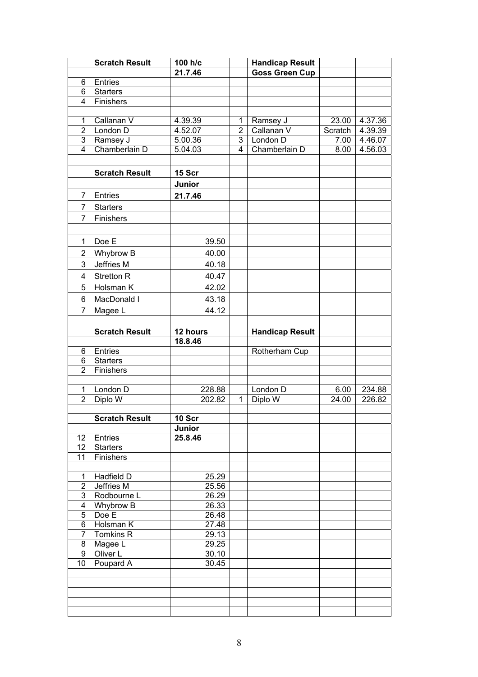|                                                                                                                                                                                                                                                        | <b>Scratch Result</b>                                                                                                                                                                                                                                                       | 100 h/c                                                                                                                                               |                         | <b>Handicap Result</b>                                                    |               |                  |
|--------------------------------------------------------------------------------------------------------------------------------------------------------------------------------------------------------------------------------------------------------|-----------------------------------------------------------------------------------------------------------------------------------------------------------------------------------------------------------------------------------------------------------------------------|-------------------------------------------------------------------------------------------------------------------------------------------------------|-------------------------|---------------------------------------------------------------------------|---------------|------------------|
|                                                                                                                                                                                                                                                        |                                                                                                                                                                                                                                                                             | 21.7.46                                                                                                                                               |                         | <b>Goss Green Cup</b>                                                     |               |                  |
| 6                                                                                                                                                                                                                                                      | Entries                                                                                                                                                                                                                                                                     |                                                                                                                                                       |                         |                                                                           |               |                  |
| 6                                                                                                                                                                                                                                                      | <b>Starters</b>                                                                                                                                                                                                                                                             |                                                                                                                                                       |                         |                                                                           |               |                  |
| $\overline{4}$                                                                                                                                                                                                                                         | Finishers                                                                                                                                                                                                                                                                   |                                                                                                                                                       |                         |                                                                           |               |                  |
|                                                                                                                                                                                                                                                        |                                                                                                                                                                                                                                                                             |                                                                                                                                                       |                         |                                                                           |               |                  |
| 1                                                                                                                                                                                                                                                      | Callanan V                                                                                                                                                                                                                                                                  | 4.39.39                                                                                                                                               | 1                       | Ramsey J                                                                  | 23.00         | 4.37.36          |
| $\overline{2}$                                                                                                                                                                                                                                         | London D                                                                                                                                                                                                                                                                    | 4.52.07                                                                                                                                               | $\overline{2}$          | Callanan V                                                                | Scratch       | 4.39.39          |
| $\overline{3}$                                                                                                                                                                                                                                         | Ramsey J                                                                                                                                                                                                                                                                    | 5.00.36                                                                                                                                               | $\overline{3}$          | London D                                                                  | 7.00          | 4.46.07          |
| $\overline{4}$                                                                                                                                                                                                                                         | Chamberlain D                                                                                                                                                                                                                                                               | 5.04.03                                                                                                                                               | $\overline{\mathbf{4}}$ | Chamberlain D                                                             | 8.00          | 4.56.03          |
|                                                                                                                                                                                                                                                        |                                                                                                                                                                                                                                                                             |                                                                                                                                                       |                         |                                                                           |               |                  |
|                                                                                                                                                                                                                                                        | <b>Scratch Result</b>                                                                                                                                                                                                                                                       | 15 Scr                                                                                                                                                |                         |                                                                           |               |                  |
|                                                                                                                                                                                                                                                        |                                                                                                                                                                                                                                                                             | Junior                                                                                                                                                |                         |                                                                           |               |                  |
| 7                                                                                                                                                                                                                                                      | Entries                                                                                                                                                                                                                                                                     | 21.7.46                                                                                                                                               |                         |                                                                           |               |                  |
| 7                                                                                                                                                                                                                                                      | <b>Starters</b>                                                                                                                                                                                                                                                             |                                                                                                                                                       |                         |                                                                           |               |                  |
| 7                                                                                                                                                                                                                                                      | Finishers                                                                                                                                                                                                                                                                   |                                                                                                                                                       |                         |                                                                           |               |                  |
|                                                                                                                                                                                                                                                        |                                                                                                                                                                                                                                                                             |                                                                                                                                                       |                         |                                                                           |               |                  |
|                                                                                                                                                                                                                                                        |                                                                                                                                                                                                                                                                             |                                                                                                                                                       |                         |                                                                           |               |                  |
| 1                                                                                                                                                                                                                                                      | Doe E                                                                                                                                                                                                                                                                       | 39.50                                                                                                                                                 |                         |                                                                           |               |                  |
| $\overline{2}$                                                                                                                                                                                                                                         | Whybrow B                                                                                                                                                                                                                                                                   | 40.00                                                                                                                                                 |                         |                                                                           |               |                  |
| 3                                                                                                                                                                                                                                                      | Jeffries M                                                                                                                                                                                                                                                                  | 40.18                                                                                                                                                 |                         |                                                                           |               |                  |
| 4                                                                                                                                                                                                                                                      | <b>Stretton R</b>                                                                                                                                                                                                                                                           | 40.47                                                                                                                                                 |                         |                                                                           |               |                  |
| 5                                                                                                                                                                                                                                                      | Holsman K                                                                                                                                                                                                                                                                   | 42.02                                                                                                                                                 |                         |                                                                           |               |                  |
| 6                                                                                                                                                                                                                                                      | MacDonald I                                                                                                                                                                                                                                                                 | 43.18                                                                                                                                                 |                         |                                                                           |               |                  |
|                                                                                                                                                                                                                                                        |                                                                                                                                                                                                                                                                             |                                                                                                                                                       |                         |                                                                           |               |                  |
|                                                                                                                                                                                                                                                        |                                                                                                                                                                                                                                                                             |                                                                                                                                                       |                         |                                                                           |               |                  |
|                                                                                                                                                                                                                                                        |                                                                                                                                                                                                                                                                             |                                                                                                                                                       |                         |                                                                           |               |                  |
|                                                                                                                                                                                                                                                        |                                                                                                                                                                                                                                                                             |                                                                                                                                                       |                         |                                                                           |               |                  |
|                                                                                                                                                                                                                                                        |                                                                                                                                                                                                                                                                             |                                                                                                                                                       |                         |                                                                           |               |                  |
|                                                                                                                                                                                                                                                        |                                                                                                                                                                                                                                                                             |                                                                                                                                                       |                         |                                                                           |               |                  |
|                                                                                                                                                                                                                                                        |                                                                                                                                                                                                                                                                             |                                                                                                                                                       |                         |                                                                           |               |                  |
|                                                                                                                                                                                                                                                        |                                                                                                                                                                                                                                                                             |                                                                                                                                                       |                         |                                                                           |               |                  |
|                                                                                                                                                                                                                                                        |                                                                                                                                                                                                                                                                             |                                                                                                                                                       |                         |                                                                           |               |                  |
|                                                                                                                                                                                                                                                        |                                                                                                                                                                                                                                                                             |                                                                                                                                                       |                         |                                                                           |               |                  |
|                                                                                                                                                                                                                                                        |                                                                                                                                                                                                                                                                             |                                                                                                                                                       |                         |                                                                           |               |                  |
|                                                                                                                                                                                                                                                        |                                                                                                                                                                                                                                                                             |                                                                                                                                                       |                         |                                                                           |               |                  |
|                                                                                                                                                                                                                                                        |                                                                                                                                                                                                                                                                             |                                                                                                                                                       |                         |                                                                           |               |                  |
|                                                                                                                                                                                                                                                        |                                                                                                                                                                                                                                                                             | 25.8.46                                                                                                                                               |                         |                                                                           |               |                  |
| $\overline{12}$                                                                                                                                                                                                                                        | <b>Starters</b>                                                                                                                                                                                                                                                             |                                                                                                                                                       |                         |                                                                           |               |                  |
| $\overline{11}$                                                                                                                                                                                                                                        | Finishers                                                                                                                                                                                                                                                                   |                                                                                                                                                       |                         |                                                                           |               |                  |
|                                                                                                                                                                                                                                                        |                                                                                                                                                                                                                                                                             |                                                                                                                                                       |                         |                                                                           |               |                  |
| $\mathbf{1}$                                                                                                                                                                                                                                           | Hadfield D                                                                                                                                                                                                                                                                  | 25.29                                                                                                                                                 |                         |                                                                           |               |                  |
|                                                                                                                                                                                                                                                        |                                                                                                                                                                                                                                                                             |                                                                                                                                                       |                         |                                                                           |               |                  |
|                                                                                                                                                                                                                                                        |                                                                                                                                                                                                                                                                             |                                                                                                                                                       |                         |                                                                           |               |                  |
|                                                                                                                                                                                                                                                        |                                                                                                                                                                                                                                                                             |                                                                                                                                                       |                         |                                                                           |               |                  |
|                                                                                                                                                                                                                                                        |                                                                                                                                                                                                                                                                             |                                                                                                                                                       |                         |                                                                           |               |                  |
|                                                                                                                                                                                                                                                        |                                                                                                                                                                                                                                                                             |                                                                                                                                                       |                         |                                                                           |               |                  |
|                                                                                                                                                                                                                                                        |                                                                                                                                                                                                                                                                             |                                                                                                                                                       |                         |                                                                           |               |                  |
|                                                                                                                                                                                                                                                        |                                                                                                                                                                                                                                                                             |                                                                                                                                                       |                         |                                                                           |               |                  |
|                                                                                                                                                                                                                                                        |                                                                                                                                                                                                                                                                             |                                                                                                                                                       |                         |                                                                           |               |                  |
|                                                                                                                                                                                                                                                        |                                                                                                                                                                                                                                                                             |                                                                                                                                                       |                         |                                                                           |               |                  |
|                                                                                                                                                                                                                                                        |                                                                                                                                                                                                                                                                             |                                                                                                                                                       |                         |                                                                           |               |                  |
|                                                                                                                                                                                                                                                        |                                                                                                                                                                                                                                                                             |                                                                                                                                                       |                         |                                                                           |               |                  |
|                                                                                                                                                                                                                                                        |                                                                                                                                                                                                                                                                             |                                                                                                                                                       |                         |                                                                           |               |                  |
|                                                                                                                                                                                                                                                        |                                                                                                                                                                                                                                                                             |                                                                                                                                                       |                         |                                                                           |               |                  |
| 7<br>6<br>6<br>$\overline{2}$<br>$\mathbf{1}$<br>$\overline{2}$<br>12 <sup>2</sup><br>$\overline{2}$<br>$\overline{3}$<br>$\overline{4}$<br>$\overline{5}$<br>$6\overline{6}$<br>$\overline{7}$<br>$\overline{8}$<br>$\overline{9}$<br>$\overline{10}$ | Magee L<br><b>Scratch Result</b><br>Entries<br><b>Starters</b><br>Finishers<br>London D<br>Diplo W<br><b>Scratch Result</b><br>Entries<br>Jeffries M<br>Rodbourne L<br><b>Whybrow B</b><br>$\overline{Doe}$ E<br>Holsman K<br>Tomkins R<br>Magee L<br>Oliver L<br>Poupard A | 44.12<br>12 hours<br>18.8.46<br>228.88<br>202.82<br>10 Scr<br>Junior<br>25.56<br>26.29<br>26.33<br>26.48<br>27.48<br>29.13<br>29.25<br>30.10<br>30.45 | $\mathbf{1}$            | <b>Handicap Result</b><br>Rotherham Cup<br>London <sub>D</sub><br>Diplo W | 6.00<br>24.00 | 234.88<br>226.82 |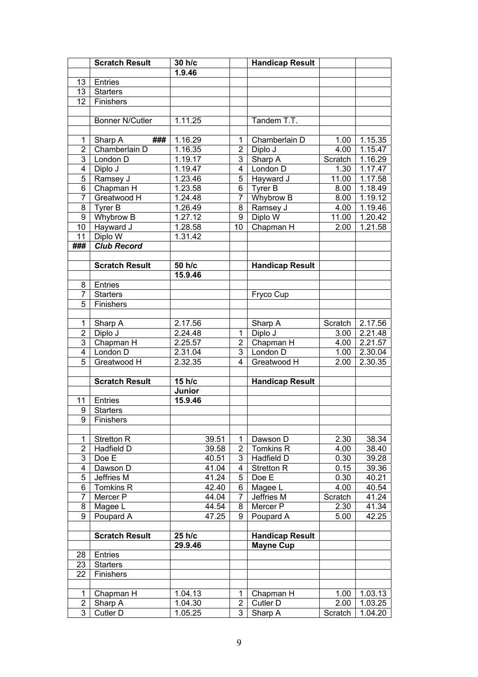|                         | <b>Scratch Result</b>        | 30 h/c               |                    |                | <b>Handicap Result</b> |         |                    |
|-------------------------|------------------------------|----------------------|--------------------|----------------|------------------------|---------|--------------------|
|                         |                              | 1.9.46               |                    |                |                        |         |                    |
| 13                      | Entries                      |                      |                    |                |                        |         |                    |
| 13                      | <b>Starters</b>              |                      |                    |                |                        |         |                    |
| 12 <sup>2</sup>         | Finishers                    |                      |                    |                |                        |         |                    |
|                         |                              |                      |                    |                |                        |         |                    |
|                         | <b>Bonner N/Cutler</b>       | 1.11.25              |                    |                | Tandem T.T.            |         |                    |
|                         |                              |                      |                    |                |                        |         |                    |
| 1                       | ###<br>Sharp A               | 1.16.29              |                    | 1              | Chamberlain D          | 1.00    | 1.15.35            |
| $\overline{2}$          | Chamberlain D                | 1.16.35              |                    | $\overline{2}$ | Diplo J                | 4.00    | 1.15.47            |
| $\overline{3}$          | London D                     | 1.19.17              |                    | 3              | Sharp A                | Scratch | 1.16.29            |
| 4                       | Diplo J                      | 1.19.47              |                    | 4              | London D               | 1.30    | 1.17.47            |
| $\overline{5}$          | Ramsey J                     | 1.23.46              |                    | 5              | Hayward J              | 11.00   | 1.17.58            |
| $\overline{6}$          | Chapman H                    | 1.23.58              |                    | 6              | Tyrer B                | 8.00    | 1.18.49            |
| $\overline{7}$          | Greatwood H                  | 1.24.48              |                    | 7              | <b>Whybrow B</b>       | 8.00    | 1.19.12            |
| 8                       | Tyrer B                      | 1.26.49              |                    | 8              | Ramsey J               | 4.00    | 1.19.46            |
| $\overline{9}$          | Whybrow B                    | 1.27.12              |                    | 9              | Diplo W                | 11.00   | 1.20.42            |
| $\overline{10}$         | Hayward J                    | 1.28.58              |                    | 10             | Chapman H              | 2.00    | 1.21.58            |
| 11                      | Diplo W                      | 1.31.42              |                    |                |                        |         |                    |
| ###                     | <b>Club Record</b>           |                      |                    |                |                        |         |                    |
|                         |                              |                      |                    |                |                        |         |                    |
|                         | <b>Scratch Result</b>        | 50 h/c               |                    |                | <b>Handicap Result</b> |         |                    |
|                         |                              | 15.9.46              |                    |                |                        |         |                    |
| 8<br>7                  | Entries                      |                      |                    |                |                        |         |                    |
| 5                       | <b>Starters</b><br>Finishers |                      |                    |                | Fryco Cup              |         |                    |
|                         |                              |                      |                    |                |                        |         |                    |
| 1                       | Sharp A                      | $2.17.\overline{56}$ |                    |                | Sharp A                | Scratch | 2.17.56            |
| $\overline{2}$          | Diplo J                      | 2.24.48              |                    | $\mathbf{1}$   | Diplo J                | 3.00    | 2.21.48            |
| $\overline{3}$          | Chapman H                    | 2.25.57              |                    | $\overline{2}$ | Chapman H              | 4.00    | 2.21.57            |
| 4                       | London D                     | 2.31.04              |                    | 3              | London D               | 1.00    | 2.30.04            |
| $\overline{5}$          | Greatwood H                  | 2.32.35              |                    | 4              | Greatwood H            | 2.00    | 2.30.35            |
|                         |                              |                      |                    |                |                        |         |                    |
|                         | <b>Scratch Result</b>        | 15 $h/c$             |                    |                | <b>Handicap Result</b> |         |                    |
|                         |                              | Junior               |                    |                |                        |         |                    |
| 11                      | Entries                      | 15.9.46              |                    |                |                        |         |                    |
| 9                       | <b>Starters</b>              |                      |                    |                |                        |         |                    |
|                         | 9 Finishers                  |                      |                    |                |                        |         |                    |
|                         |                              |                      |                    |                |                        |         |                    |
| 1                       | Stretton R                   |                      | 39.51              | 1              | Dawson D               | 2.30    | 38.34              |
| $\overline{2}$          | Hadfield D                   |                      | 39.58              | $\overline{2}$ | Tomkins R              | 4.00    | 38.40              |
| $\overline{3}$          | Doe E                        |                      | $40.\overline{51}$ | 3              | Hadfield D             | 0.30    | 39.28              |
| $\overline{\mathbf{4}}$ | Dawson D                     |                      | 41.04              | 4              | <b>Stretton R</b>      | 0.15    | 39.36              |
| 5                       | Jeffries M                   |                      | 41.24              | 5              | Doe E                  | 0.30    | 40.21              |
| 6                       | Tomkins <sub>R</sub>         |                      | 42.40              | 6              | Magee L                | 4.00    | $40.\overline{54}$ |
| $\overline{7}$          | Mercer P                     |                      | 44.04              | 7              | Jeffries M             | Scratch | 41.24              |
| 8                       | Magee L                      |                      | 44.54              | 8              | Mercer P               | 2.30    | 41.34              |
| 9                       | Poupard A                    |                      | 47.25              | 9              | Poupard A              | 5.00    | 42.25              |
|                         | <b>Scratch Result</b>        | 25 h/c               |                    |                | <b>Handicap Result</b> |         |                    |
|                         |                              | 29.9.46              |                    |                | <b>Mayne Cup</b>       |         |                    |
| 28                      | Entries                      |                      |                    |                |                        |         |                    |
| 23                      | <b>Starters</b>              |                      |                    |                |                        |         |                    |
| 22                      | Finishers                    |                      |                    |                |                        |         |                    |
|                         |                              |                      |                    |                |                        |         |                    |
| 1                       | Chapman H                    | 1.04.13              |                    | 1              | Chapman H              | 1.00    | 1.03.13            |
| $\overline{2}$          | Sharp A                      | 1.04.30              |                    | $\overline{2}$ | Cutler D               | 2.00    | 1.03.25            |
| $\overline{3}$          | Cutler D                     | 1.05.25              |                    | 3              | Sharp A                | Scratch | 1.04.20            |
|                         |                              |                      |                    |                |                        |         |                    |